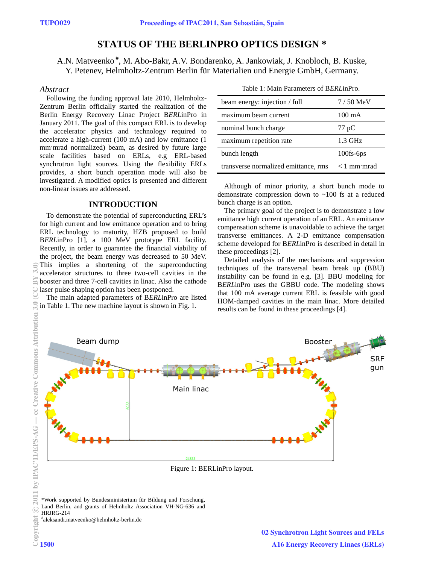# **STATUS OF THE BERLINPRO OPTICS DESIGN \***

A.N. Matveenko #, M. Abo-Bakr, A.V. Bondarenko, A. Jankowiak, J. Knobloch, B. Kuske, Y. Petenev, Helmholtz-Zentrum Berlin für Materialien und Energie GmbH, Germany.

## *Abstract*

Following the funding approval late 2010, Helmholtz-Zentrum Berlin officially started the realization of the Berlin Energy Recovery Linac Project B*ERL*inPro in January 2011. The goal of this compact ERL is to develop the accelerator physics and technology required to accelerate a high-current (100 mA) and low emittance (1 mm·mrad normalized) beam, as desired by future large scale facilities based on ERLs, e.g ERL-based synchrotron light sources. Using the flexibility ERLs provides, a short bunch operation mode will also be investigated. A modified optics is presented and different non-linear issues are addressed.

# **INTRODUCTION**

To demonstrate the potential of superconducting ERL's for high current and low emittance operation and to bring ERL technology to maturity, HZB proposed to build B*ERL*inPro [1], a 100 MeV prototype ERL facility. Recently, in order to guarantee the financial viability of the project, the beam energy was decreased to 50 MeV. This implies a shortening of the superconducting accelerator structures to three two-cell cavities in the booster and three 7-cell cavities in linac. Also the cathode laser pulse shaping option has been postponed.

The main adapted parameters of B*ERL*inPro are listed in Table 1. The new machine layout is shown in Fig. 1.

Table 1: Main Parameters of B*ERL*inPro.

| beam energy: injection / full        | $7/50$ MeV       |
|--------------------------------------|------------------|
| maximum beam current                 | $100 \text{ mA}$ |
| nominal bunch charge                 | $77 \text{ pC}$  |
| maximum repetition rate              | $1.3$ GHz        |
| bunch length                         | 100fs-6ps        |
| transverse normalized emittance, rms | $< 1$ mm mrad    |

Although of minor priority, a short bunch mode to demonstrate compression down to ~100 fs at a reduced bunch charge is an option.

The primary goal of the project is to demonstrate a low emittance high current operation of an ERL. An emittance compensation scheme is unavoidable to achieve the target transverse emittances. A 2-D emittance compensation scheme developed for B*ERL*inPro is described in detail in these proceedings [2].

Detailed analysis of the mechanisms and suppression techniques of the transversal beam break up (BBU) instability can be found in e.g. [3]. BBU modeling for B*ERL*inPro uses the GBBU code. The modeling shows that 100 mA average current ERL is feasible with good HOM-damped cavities in the main linac. More detailed results can be found in these proceedings [4].



\*Work supported by Bundesministerium für Bildung und Forschung, Land Berlin, and grants of Helmholtz Association VH-NG-636 and HRJRG-214

# aleksandr.matveenko@helmholtz-berlin.de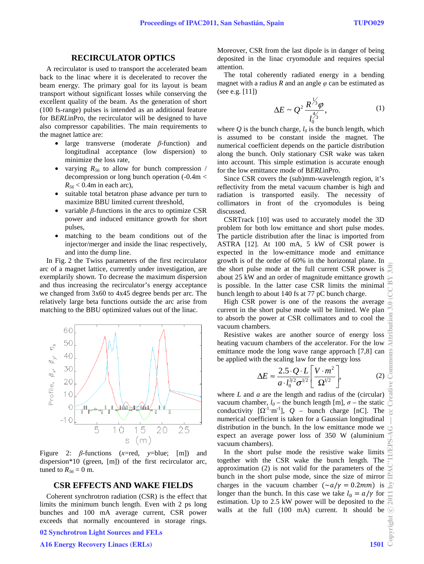## **RECIRCULATOR OPTICS**

A recirculator is used to transport the accelerated beam back to the linac where it is decelerated to recover the beam energy. The primary goal for its layout is beam transport without significant losses while conserving the excellent quality of the beam. As the generation of short (100 fs-range) pulses is intended as an additional feature for B*ERL*inPro, the recirculator will be designed to have also compressor capabilities. The main requirements to the magnet lattice are:

- large transverse (moderate *β*-function) and longitudinal acceptance (low dispersion) to minimize the loss rate,
- varying  $R_{56}$  to allow for bunch compression / decompression or long bunch operation (-0.4m <  $R_{56}$  < 0.4m in each arc),
- suitable total betatron phase advance per turn to maximize BBU limited current threshold,
- variable  $β$ -functions in the arcs to optimize CSR power and induced emittance growth for short pulses,
- matching to the beam conditions out of the injector/merger and inside the linac respectively, and into the dump line.

In Fig. 2 the Twiss parameters of the first recirculator arc of a magnet lattice, currently under investigation, are exemplarily shown. To decrease the maximum dispersion and thus increasing the recirculator's energy acceptance we changed from 3x60 to 4x45 degree bends per arc. The relatively large beta functions outside the arc arise from matching to the BBU optimized values out of the linac.



Figure 2: *β*-functions (*x*=red, *y*=blue; [m]) and dispersion\*10 (green, [m]) of the first recirculator arc, tuned to  $R_{56} = 0$  m.

#### **CSR EFFECTS AND WAKE FIELDS**

Coherent synchrotron radiation (CSR) is the effect that limits the minimum bunch length. Even with 2 ps long bunches and 100 mA average current, CSR power exceeds that normally encountered in storage rings.

## 02 Synchrotron Light Sources and FELs

#### A16 Energy Recovery Linacs (ERLs) 1501

Moreover, CSR from the last dipole is in danger of being deposited in the linac cryomodule and requires special attention.

The total coherently radiated energy in a bending magnet with a radius  $R$  and an angle  $\varphi$  can be estimated as (see e.g. [11])

$$
\Delta E \sim Q^2 \frac{R^{\frac{1}{3}} \varphi}{l_0^{\frac{4}{3}}},\tag{1}
$$

where  $Q$  is the bunch charge,  $l_0$  is the bunch length, which is assumed to be constant inside the magnet. The numerical coefficient depends on the particle distribution along the bunch. Only stationary CSR wake was taken into account. This simple estimation is accurate enough for the low emittance mode of B*ERL*inPro.

Since CSR covers the (sub)mm-wavelength region, it's reflectivity from the metal vacuum chamber is high and radiation is transported easily. The necessity of collimators in front of the cryomodules is being discussed.

CSRTrack [10] was used to accurately model the 3D problem for both low emittance and short pulse modes. The particle distribution after the linac is imported from ASTRA [12]. At 100 mA, 5 kW of CSR power is expected in the low-emittance mode and emittance growth is of the order of 60% in the horizontal plane. In the short pulse mode at the full current CSR power is about 25 kW and an order of magnitude emittance growth is possible. In the latter case CSR limits the minimal bunch length to about 140 fs at 77 pC bunch charge.

High CSR power is one of the reasons the average current in the short pulse mode will be limited. We plan to absorb the power at CSR collimators and to cool the vacuum chambers.

Resistive wakes are another source of energy loss heating vacuum chambers of the accelerator. For the low emittance mode the long wave range approach [7,8] can be applied with the scaling law for the energy loss

$$
\Delta E \approx \frac{2.5 \cdot Q \cdot L}{a \cdot l_0^{3/2} \sigma^{1/2}} \left[ \frac{V \cdot m^2}{\Omega^{1/2}} \right],\tag{2}
$$

where *L* and *a* are the length and radius of the (circular) vacuum chamber,  $l_0$  – the bunch length [m],  $\sigma$  – the static conductivity  $[\Omega^{-1} \text{m}^{-1}]$ ,  $Q$  – bunch charge [nC]. The numerical coefficient is taken for a Gaussian longitudinal distribution in the bunch. In the low emittance mode we expect an average power loss of 350 W (aluminium vacuum chambers).

In the short pulse mode the resistive wake limits together with the CSR wake the bunch length. The approximation (2) is not valid for the parameters of the bunch in the short pulse mode, since the size of mirror charges in the vacuum chamber  $(\sim a/\gamma = 0.2mm)$  is longer than the bunch. In this case we take  $l_0 = a/\gamma$  for estimation. Up to 2.5 kW power will be deposited to the walls at the full (100 mA) current. It should be